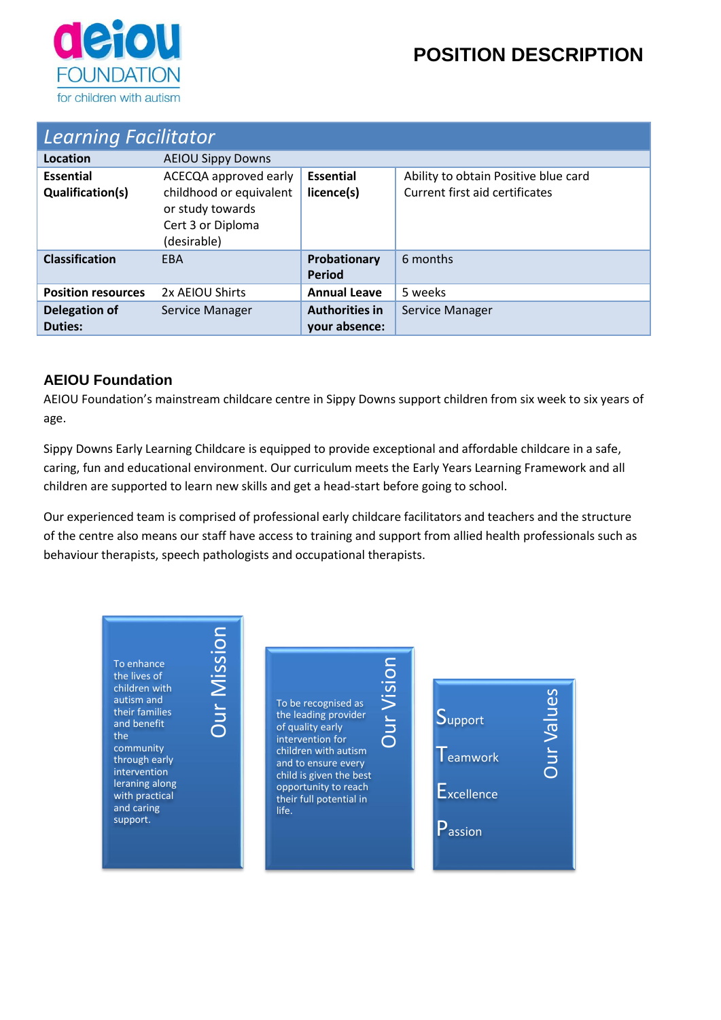

# **POSITION DESCRIPTION**

| <b>Learning Facilitator</b>          |                                                                                                          |                                        |                                                                        |  |  |  |
|--------------------------------------|----------------------------------------------------------------------------------------------------------|----------------------------------------|------------------------------------------------------------------------|--|--|--|
| Location                             | <b>AEIOU Sippy Downs</b>                                                                                 |                                        |                                                                        |  |  |  |
| <b>Essential</b><br>Qualification(s) | ACECQA approved early<br>childhood or equivalent<br>or study towards<br>Cert 3 or Diploma<br>(desirable) | <b>Essential</b><br>licence(s)         | Ability to obtain Positive blue card<br>Current first aid certificates |  |  |  |
| <b>Classification</b>                | <b>FBA</b>                                                                                               | Probationary<br>Period                 | 6 months                                                               |  |  |  |
| <b>Position resources</b>            | 2x AEIOU Shirts                                                                                          | <b>Annual Leave</b>                    | 5 weeks                                                                |  |  |  |
| <b>Delegation of</b><br>Duties:      | Service Manager                                                                                          | <b>Authorities in</b><br>your absence: | Service Manager                                                        |  |  |  |

#### **AEIOU Foundation**

AEIOU Foundation's mainstream childcare centre in Sippy Downs support children from six week to six years of age.

Sippy Downs Early Learning Childcare is equipped to provide exceptional and affordable childcare in a safe, caring, fun and educational environment. Our curriculum meets the Early Years Learning Framework and all children are supported to learn new skills and get a head-start before going to school.

Our experienced team is comprised of professional early childcare facilitators and teachers and the structure of the centre also means our staff have access to training and support from allied health professionals such as behaviour therapists, speech pathologists and occupational therapists.

Our Vision

To enhance the lives of children with autism and their families and benefit the community through early intervention leraning along with practical and caring support.

Our Mission

To be recognised as the leading provider of quality early intervention for children with autism and to ensure every child is given the best opportunity to reach their full potential in life.

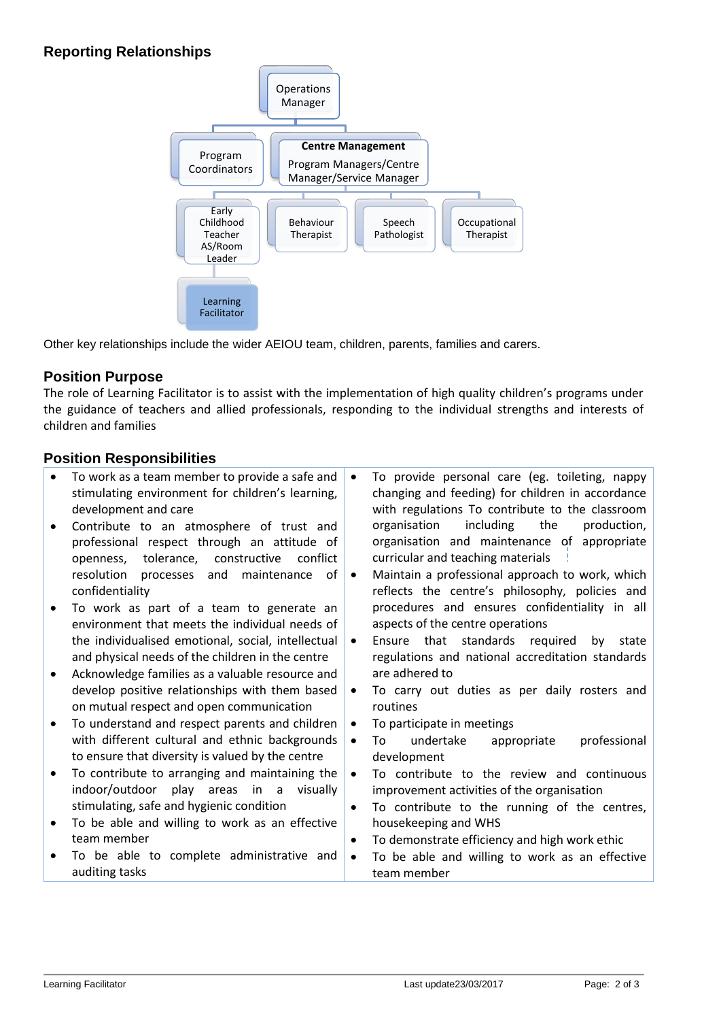#### **Reporting Relationships**



Other key relationships include the wider AEIOU team, children, parents, families and carers.

#### **Position Purpose**

The role of Learning Facilitator is to assist with the implementation of high quality children's programs under the guidance of teachers and allied professionals, responding to the individual strengths and interests of children and families

#### **Position Responsibilities**

- To work as a team member to provide a safe and stimulating environment for children's learning, development and care
- Contribute to an atmosphere of trust and professional respect through an attitude of openness, tolerance, constructive conflict resolution processes and maintenance of confidentiality
- To work as part of a team to generate an environment that meets the individual needs of the individualised emotional, social, intellectual and physical needs of the children in the centre
- Acknowledge families as a valuable resource and develop positive relationships with them based on mutual respect and open communication
- To understand and respect parents and children with different cultural and ethnic backgrounds to ensure that diversity is valued by the centre
- To contribute to arranging and maintaining the indoor/outdoor play areas in a visually stimulating, safe and hygienic condition
- To be able and willing to work as an effective team member
- To be able to complete administrative and auditing tasks
- To provide personal care (eg. toileting, nappy changing and feeding) for children in accordance with regulations To contribute to the classroom organisation including the production, organisation and maintenance of appropriate curricular and teaching materials
- Maintain a professional approach to work, which reflects the centre's philosophy, policies and procedures and ensures confidentiality in all aspects of the centre operations
- Ensure that standards required by state regulations and national accreditation standards are adhered to
- To carry out duties as per daily rosters and routines
- To participate in meetings
- To undertake appropriate professional development
- To contribute to the review and continuous improvement activities of the organisation
- To contribute to the running of the centres, housekeeping and WHS
- To demonstrate efficiency and high work ethic
- To be able and willing to work as an effective team member